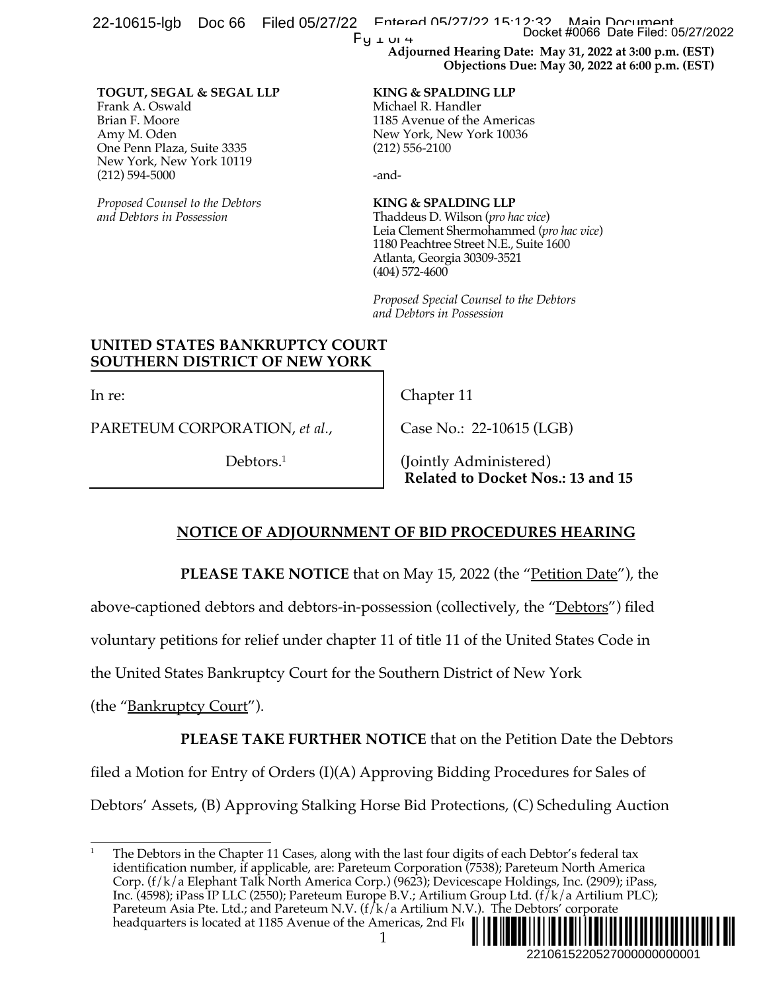| Filed 05/27/22<br>22-10615-lgb<br>Doc 66                                                                                                                                                                                                                                                                                                                                                                                                                                                                                                                                                                          | Fntarad 05/27/22 15:12:32<br>Main Document<br>Docket #0066 Date Filed: 05/27/2022<br>Py + ui 4<br>Adjourned Hearing Date: May 31, 2022 at 3:00 p.m. (EST)<br>Objections Due: May 30, 2022 at 6:00 p.m. (EST) |
|-------------------------------------------------------------------------------------------------------------------------------------------------------------------------------------------------------------------------------------------------------------------------------------------------------------------------------------------------------------------------------------------------------------------------------------------------------------------------------------------------------------------------------------------------------------------------------------------------------------------|--------------------------------------------------------------------------------------------------------------------------------------------------------------------------------------------------------------|
| TOGUT, SEGAL & SEGAL LLP<br>Frank A. Oswald<br>Brian F. Moore<br>Amy M. Oden<br>One Penn Plaza, Suite 3335<br>New York, New York 10119<br>$(212) 594 - 5000$                                                                                                                                                                                                                                                                                                                                                                                                                                                      | <b>KING &amp; SPALDING LLP</b><br>Michael R. Handler<br>1185 Avenue of the Americas<br>New York, New York 10036<br>$(212)$ 556-2100<br>-and-                                                                 |
| Proposed Counsel to the Debtors<br>and Debtors in Possession                                                                                                                                                                                                                                                                                                                                                                                                                                                                                                                                                      | <b>KING &amp; SPALDING LLP</b><br>Thaddeus D. Wilson (pro hac vice)<br>Leia Clement Shermohammed (pro hac vice)<br>1180 Peachtree Street N.E., Suite 1600<br>Atlanta, Georgia 30309-3521<br>$(404)$ 572-4600 |
|                                                                                                                                                                                                                                                                                                                                                                                                                                                                                                                                                                                                                   | Proposed Special Counsel to the Debtors<br>and Debtors in Possession                                                                                                                                         |
| UNITED STATES BANKRUPTCY COURT<br><b>SOUTHERN DISTRICT OF NEW YORK</b>                                                                                                                                                                                                                                                                                                                                                                                                                                                                                                                                            |                                                                                                                                                                                                              |
| In re:                                                                                                                                                                                                                                                                                                                                                                                                                                                                                                                                                                                                            | Chapter 11                                                                                                                                                                                                   |
| PARETEUM CORPORATION, et al.,                                                                                                                                                                                                                                                                                                                                                                                                                                                                                                                                                                                     | Case No.: 22-10615 (LGB)                                                                                                                                                                                     |
| Debtors. $1$                                                                                                                                                                                                                                                                                                                                                                                                                                                                                                                                                                                                      | (Jointly Administered)<br>Related to Docket Nos.: 13 and 15                                                                                                                                                  |
| <b>NOTICE OF ADJOURNMENT OF BID PROCEDURES HEARING</b>                                                                                                                                                                                                                                                                                                                                                                                                                                                                                                                                                            |                                                                                                                                                                                                              |
| <b>PLEASE TAKE NOTICE</b> that on May 15, 2022 (the " <u>Petition Date</u> "), the                                                                                                                                                                                                                                                                                                                                                                                                                                                                                                                                |                                                                                                                                                                                                              |
| above-captioned debtors and debtors-in-possession (collectively, the " <u>Debtors</u> ") filed                                                                                                                                                                                                                                                                                                                                                                                                                                                                                                                    |                                                                                                                                                                                                              |
| voluntary petitions for relief under chapter 11 of title 11 of the United States Code in                                                                                                                                                                                                                                                                                                                                                                                                                                                                                                                          |                                                                                                                                                                                                              |
| the United States Bankruptcy Court for the Southern District of New York                                                                                                                                                                                                                                                                                                                                                                                                                                                                                                                                          |                                                                                                                                                                                                              |
| (the " <u>Bankruptcy Court</u> ").                                                                                                                                                                                                                                                                                                                                                                                                                                                                                                                                                                                |                                                                                                                                                                                                              |
| <b>PLEASE TAKE FURTHER NOTICE</b> that on the Petition Date the Debtors                                                                                                                                                                                                                                                                                                                                                                                                                                                                                                                                           |                                                                                                                                                                                                              |
| filed a Motion for Entry of Orders (I)(A) Approving Bidding Procedures for Sales of                                                                                                                                                                                                                                                                                                                                                                                                                                                                                                                               |                                                                                                                                                                                                              |
| Debtors' Assets, (B) Approving Stalking Horse Bid Protections, (C) Scheduling Auction                                                                                                                                                                                                                                                                                                                                                                                                                                                                                                                             |                                                                                                                                                                                                              |
| 1<br>The Debtors in the Chapter 11 Cases, along with the last four digits of each Debtor's federal tax<br>identification number, if applicable, are: Pareteum Corporation (7538); Pareteum North America<br>Corp. (f/k/a Elephant Talk North America Corp.) (9623); Devicescape Holdings, Inc. (2909); iPass,<br>Inc. (4598); iPass IP LLC (2550); Pareteum Europe B.V.; Artilium Group Ltd. (f/k/a Artilium PLC);<br>Pareteum Asia Pte. Ltd.; and Pareteum N.V. ( $f/k/a$ Artilium N.V.). The Debtors' corporate<br>headquarters is located at 1185 Avenue of the Americas, 2nd Flo<br>2210615220527000000000001 |                                                                                                                                                                                                              |

## **NOTICE OF ADJOURNMENT OF BID PROCEDURES HEARING**

<sup>&</sup>lt;sup>1</sup> The Debtors in the Chapter 11 Cases, along with the last four digits of each Debtor's federal tax identification number, if applicable, are: Pareteum Corporation (7538); Pareteum North America Corp. (f/k/a Elephant Talk North America Corp.) (9623); Devicescape Holdings, Inc. (2909); iPass, Inc. (4598); iPass IP LLC (2550); Pareteum Europe B.V.; Artilium Group Ltd. (f/k/a Artilium PLC); Pareteum Asia Pte. Ltd.; and Pareteum N.V. (f/k/a Artilium N.V.). The Debtors' corporate headquarters is located at 1185 Avenue of the Americas, 2nd Flo ¨2¤5&/6%; !V«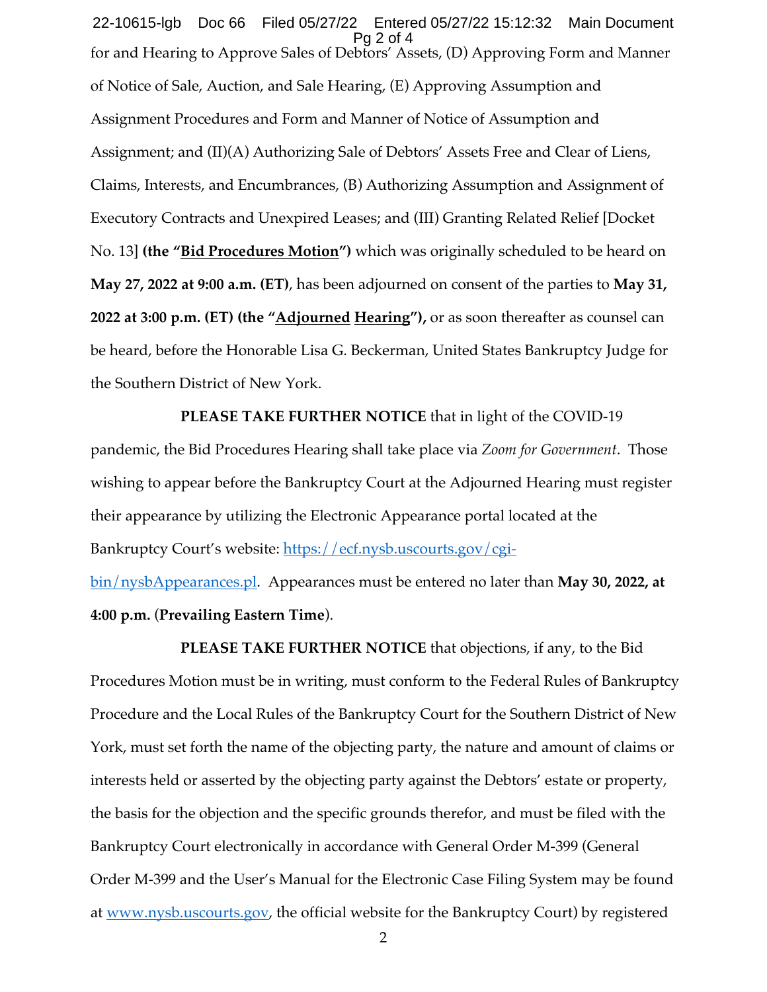for and Hearing to Approve Sales of Debtors' Assets, (D) Approving Form and Manner of Notice of Sale, Auction, and Sale Hearing, (E) Approving Assumption and Assignment Procedures and Form and Manner of Notice of Assumption and Assignment; and (II)(A) Authorizing Sale of Debtors' Assets Free and Clear of Liens, Claims, Interests, and Encumbrances, (B) Authorizing Assumption and Assignment of Executory Contracts and Unexpired Leases; and (III) Granting Related Relief [Docket No. 13] **(the "Bid Procedures Motion")** which was originally scheduled to be heard on **May 27, 2022 at 9:00 a.m. (ET)**, has been adjourned on consent of the parties to **May 31, 2022 at 3:00 p.m. (ET) (the "Adjourned Hearing"),** or as soon thereafter as counsel can be heard, before the Honorable Lisa G. Beckerman, United States Bankruptcy Judge for the Southern District of New York. 22-10615-lgb Doc 66 Filed 05/27/22 Entered 05/27/22 15:12:32 Main Document Pg 2 of 4

## **PLEASE TAKE FURTHER NOTICE** that in light of the COVID-19

pandemic, the Bid Procedures Hearing shall take place via *Zoom for Government*. Those wishing to appear before the Bankruptcy Court at the Adjourned Hearing must register their appearance by utilizing the Electronic Appearance portal located at the Bankruptcy Court's website: https://ecf.nysb.uscourts.gov/cgi-

bin/nysbAppearances.pl. Appearances must be entered no later than **May 30, 2022, at 4:00 p.m.** (**Prevailing Eastern Time**).

**PLEASE TAKE FURTHER NOTICE** that objections, if any, to the Bid Procedures Motion must be in writing, must conform to the Federal Rules of Bankruptcy Procedure and the Local Rules of the Bankruptcy Court for the Southern District of New York, must set forth the name of the objecting party, the nature and amount of claims or interests held or asserted by the objecting party against the Debtors' estate or property, the basis for the objection and the specific grounds therefor, and must be filed with the Bankruptcy Court electronically in accordance with General Order M-399 (General Order M-399 and the User's Manual for the Electronic Case Filing System may be found at www.nysb.uscourts.gov, the official website for the Bankruptcy Court) by registered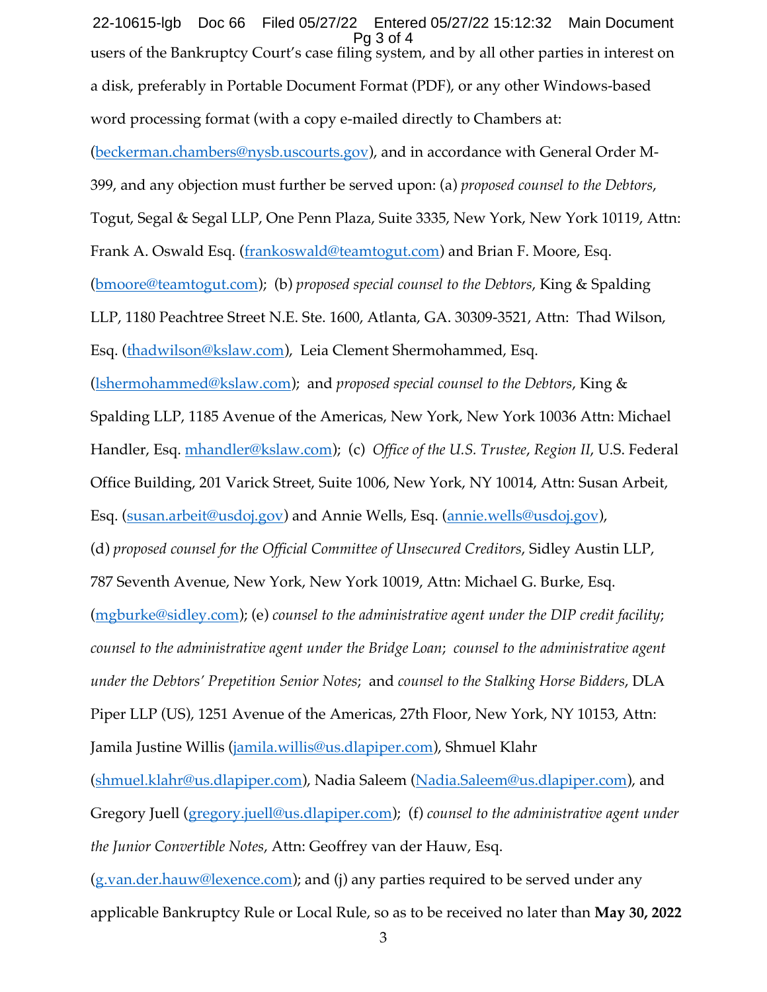users of the Bankruptcy Court's case filing system, and by all other parties in interest on a disk, preferably in Portable Document Format (PDF), or any other Windows-based word processing format (with a copy e-mailed directly to Chambers at: (beckerman.chambers@nysb.uscourts.gov), and in accordance with General Order M-399, and any objection must further be served upon: (a) *proposed counsel to the Debtors*, Togut, Segal & Segal LLP, One Penn Plaza, Suite 3335, New York, New York 10119, Attn: Frank A. Oswald Esq. (frankoswald@teamtogut.com) and Brian F. Moore, Esq. (bmoore@teamtogut.com); (b) *proposed special counsel to the Debtors*, King & Spalding LLP, 1180 Peachtree Street N.E. Ste. 1600, Atlanta, GA. 30309-3521, Attn: Thad Wilson, Esq. (thadwilson@kslaw.com), Leia Clement Shermohammed, Esq. (lshermohammed@kslaw.com); and *proposed special counsel to the Debtors*, King & Spalding LLP, 1185 Avenue of the Americas, New York, New York 10036 Attn: Michael Handler, Esq. mhandler@kslaw.com); (c) *Office of the U.S. Trustee*, *Region II*, U.S. Federal Office Building, 201 Varick Street, Suite 1006, New York, NY 10014, Attn: Susan Arbeit, Esq. (susan.arbeit@usdoj.gov) and Annie Wells, Esq. (annie.wells@usdoj.gov), (d) *proposed counsel for the Official Committee of Unsecured Creditors*, Sidley Austin LLP, 787 Seventh Avenue, New York, New York 10019, Attn: Michael G. Burke, Esq. (mgburke@sidley.com); (e) *counsel to the administrative agent under the DIP credit facility*; *counsel to the administrative agent under the Bridge Loan*; *counsel to the administrative agent under the Debtors' Prepetition Senior Notes*; and *counsel to the Stalking Horse Bidders*, DLA Piper LLP (US), 1251 Avenue of the Americas, 27th Floor, New York, NY 10153, Attn: Jamila Justine Willis (*jamila.willis@us.dlapiper.com*), Shmuel Klahr (shmuel.klahr@us.dlapiper.com), Nadia Saleem (Nadia.Saleem@us.dlapiper.com), and Gregory Juell (gregory.juell@us.dlapiper.com); (f) *counsel to the administrative agent under the Junior Convertible Notes*, Attn: Geoffrey van der Hauw, Esq. (g.van.der.hauw@lexence.com); and (j) any parties required to be served under any applicable Bankruptcy Rule or Local Rule, so as to be received no later than **May 30, 2022**  22-10615-lgb Doc 66 Filed 05/27/22 Entered 05/27/22 15:12:32 Main Document Pg 3 of 4